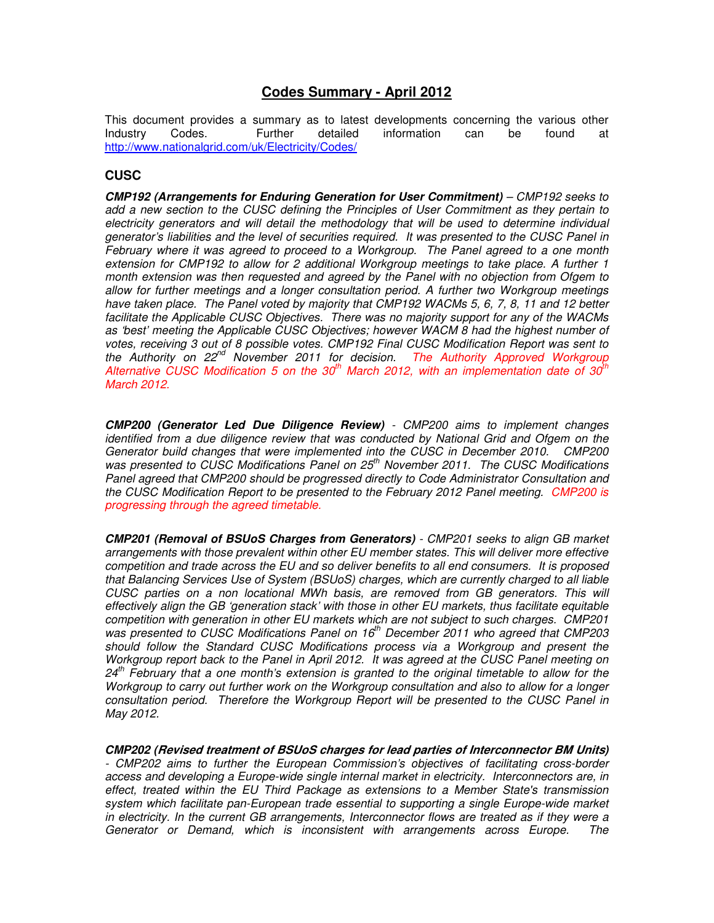# **Codes Summary - April 2012**

This document provides a summary as to latest developments concerning the various other<br>Industry Codes. Further detailed information can be found at Industry Codes. Further detailed information can be found at http://www.nationalgrid.com/uk/Electricity/Codes/

# **CUSC**

**CMP192 (Arrangements for Enduring Generation for User Commitment)** – CMP192 seeks to add a new section to the CUSC defining the Principles of User Commitment as they pertain to electricity generators and will detail the methodology that will be used to determine individual generator's liabilities and the level of securities required. It was presented to the CUSC Panel in February where it was agreed to proceed to a Workgroup. The Panel agreed to a one month extension for CMP192 to allow for 2 additional Workgroup meetings to take place. A further 1 month extension was then requested and agreed by the Panel with no objection from Ofgem to allow for further meetings and a longer consultation period. A further two Workgroup meetings have taken place. The Panel voted by majority that CMP192 WACMs 5, 6, 7, 8, 11 and 12 better facilitate the Applicable CUSC Objectives. There was no majority support for any of the WACMs as 'best' meeting the Applicable CUSC Objectives; however WACM 8 had the highest number of votes, receiving 3 out of 8 possible votes. CMP192 Final CUSC Modification Report was sent to the Authority on 22<sup>nd</sup> November 2011 for decision. The Authority Approved Workgroup Alternative CUSC Modification 5 on the 30<sup>th</sup> March 2012, with an implementation date of 30<sup>th</sup> March 2012.

**CMP200 (Generator Led Due Diligence Review)** - CMP200 aims to implement changes identified from a due diligence review that was conducted by National Grid and Ofgem on the Generator build changes that were implemented into the CUSC in December 2010. CMP200 was presented to CUSC Modifications Panel on  $25<sup>th</sup>$  November 2011. The CUSC Modifications Panel agreed that CMP200 should be progressed directly to Code Administrator Consultation and the CUSC Modification Report to be presented to the February 2012 Panel meeting. CMP200 is progressing through the agreed timetable.

**CMP201 (Removal of BSUoS Charges from Generators)** - CMP201 seeks to align GB market arrangements with those prevalent within other EU member states. This will deliver more effective competition and trade across the EU and so deliver benefits to all end consumers. It is proposed that Balancing Services Use of System (BSUoS) charges, which are currently charged to all liable CUSC parties on a non locational MWh basis, are removed from GB generators. This will effectively align the GB 'generation stack' with those in other EU markets, thus facilitate equitable competition with generation in other EU markets which are not subject to such charges. CMP201 was presented to CUSC Modifications Panel on 16<sup>th</sup> December 2011 who agreed that CMP203 should follow the Standard CUSC Modifications process via a Workgroup and present the Workgroup report back to the Panel in April 2012. It was agreed at the CUSC Panel meeting on  $24<sup>th</sup>$  February that a one month's extension is granted to the original timetable to allow for the Workgroup to carry out further work on the Workgroup consultation and also to allow for a longer consultation period. Therefore the Workgroup Report will be presented to the CUSC Panel in May 2012.

**CMP202 (Revised treatment of BSUoS charges for lead parties of Interconnector BM Units)** - CMP202 aims to further the European Commission's objectives of facilitating cross-border access and developing a Europe-wide single internal market in electricity. Interconnectors are, in effect, treated within the EU Third Package as extensions to a Member State's transmission system which facilitate pan-European trade essential to supporting a single Europe-wide market in electricity. In the current GB arrangements, Interconnector flows are treated as if they were a Generator or Demand, which is inconsistent with arrangements across Europe. The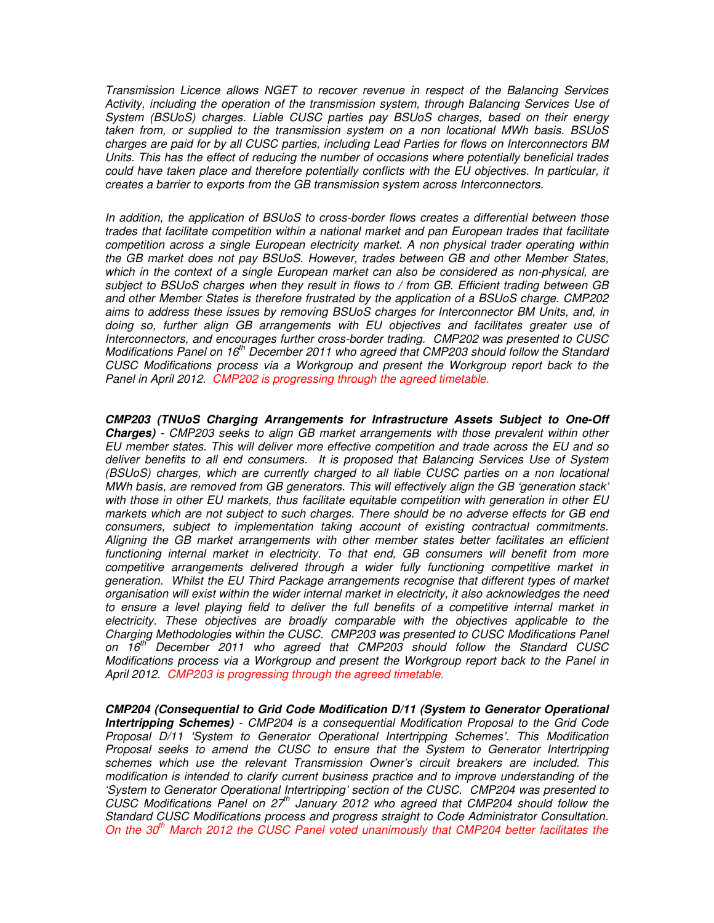Transmission Licence allows NGET to recover revenue in respect of the Balancing Services Activity, including the operation of the transmission system, through Balancing Services Use of System (BSUoS) charges. Liable CUSC parties pay BSUoS charges, based on their energy taken from, or supplied to the transmission system on a non locational MWh basis. BSUoS charges are paid for by all CUSC parties, including Lead Parties for flows on Interconnectors BM Units. This has the effect of reducing the number of occasions where potentially beneficial trades could have taken place and therefore potentially conflicts with the EU objectives. In particular, it creates a barrier to exports from the GB transmission system across Interconnectors.

In addition, the application of BSUoS to cross-border flows creates a differential between those trades that facilitate competition within a national market and pan European trades that facilitate competition across a single European electricity market. A non physical trader operating within the GB market does not pay BSUoS. However, trades between GB and other Member States, which in the context of a single European market can also be considered as non-physical, are subject to BSUoS charges when they result in flows to / from GB. Efficient trading between GB and other Member States is therefore frustrated by the application of a BSUoS charge. CMP202 aims to address these issues by removing BSUoS charges for Interconnector BM Units, and, in doing so, further align GB arrangements with EU objectives and facilitates greater use of Interconnectors, and encourages further cross-border trading. CMP202 was presented to CUSC Modifications Panel on  $16<sup>th</sup>$  December 2011 who agreed that CMP203 should follow the Standard CUSC Modifications process via a Workgroup and present the Workgroup report back to the Panel in April 2012. CMP202 is progressing through the agreed timetable.

**CMP203 (TNUoS Charging Arrangements for Infrastructure Assets Subject to One-Off Charges)** - CMP203 seeks to align GB market arrangements with those prevalent within other EU member states. This will deliver more effective competition and trade across the EU and so deliver benefits to all end consumers. It is proposed that Balancing Services Use of System (BSUoS) charges, which are currently charged to all liable CUSC parties on a non locational MWh basis, are removed from GB generators. This will effectively align the GB 'generation stack' with those in other EU markets, thus facilitate equitable competition with generation in other EU markets which are not subject to such charges. There should be no adverse effects for GB end consumers, subject to implementation taking account of existing contractual commitments. Aligning the GB market arrangements with other member states better facilitates an efficient functioning internal market in electricity. To that end, GB consumers will benefit from more competitive arrangements delivered through a wider fully functioning competitive market in generation. Whilst the EU Third Package arrangements recognise that different types of market organisation will exist within the wider internal market in electricity, it also acknowledges the need to ensure a level playing field to deliver the full benefits of a competitive internal market in electricity. These objectives are broadly comparable with the objectives applicable to the Charging Methodologies within the CUSC. CMP203 was presented to CUSC Modifications Panel on  $16<sup>th</sup>$  December 2011 who agreed that CMP203 should follow the Standard CUSC Modifications process via a Workgroup and present the Workgroup report back to the Panel in April 2012. CMP203 is progressing through the agreed timetable.

**CMP204 (Consequential to Grid Code Modification D/11 (System to Generator Operational Intertripping Schemes)** - CMP204 is a consequential Modification Proposal to the Grid Code Proposal D/11 'System to Generator Operational Intertripping Schemes'. This Modification Proposal seeks to amend the CUSC to ensure that the System to Generator Intertripping schemes which use the relevant Transmission Owner's circuit breakers are included. This modification is intended to clarify current business practice and to improve understanding of the 'System to Generator Operational Intertripping' section of the CUSC. CMP204 was presented to CUSC Modifications Panel on  $27<sup>th</sup>$  January 2012 who agreed that CMP204 should follow the Standard CUSC Modifications process and progress straight to Code Administrator Consultation. On the  $30<sup>th</sup>$  March 2012 the CUSC Panel voted unanimously that CMP204 better facilitates the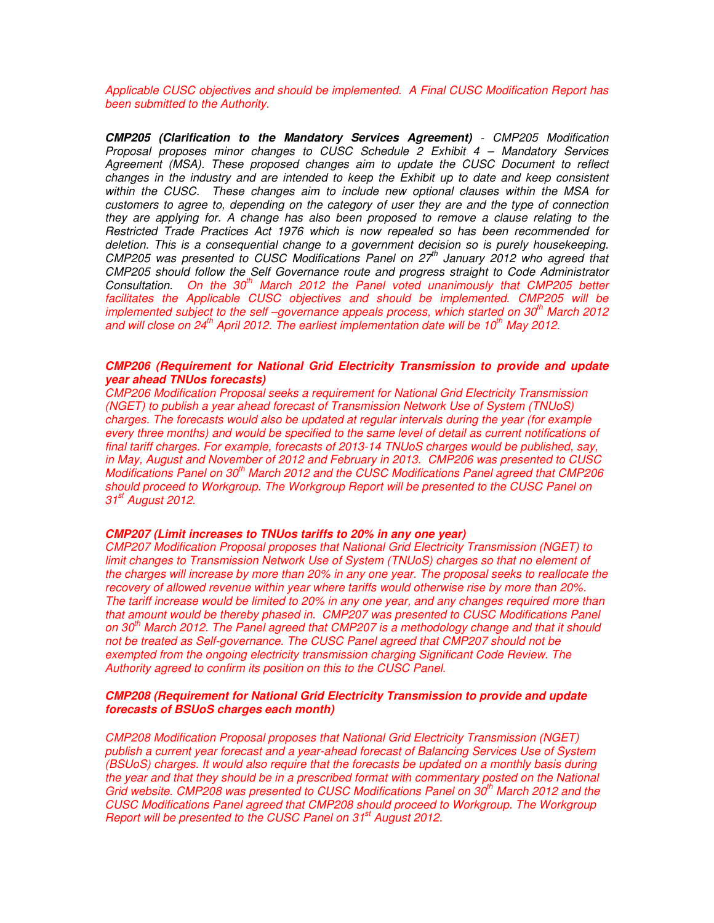Applicable CUSC objectives and should be implemented. A Final CUSC Modification Report has been submitted to the Authority.

**CMP205 (Clarification to the Mandatory Services Agreement)** - CMP205 Modification Proposal proposes minor changes to CUSC Schedule 2 Exhibit 4 – Mandatory Services Agreement (MSA). These proposed changes aim to update the CUSC Document to reflect changes in the industry and are intended to keep the Exhibit up to date and keep consistent within the CUSC. These changes aim to include new optional clauses within the MSA for customers to agree to, depending on the category of user they are and the type of connection they are applying for. A change has also been proposed to remove a clause relating to the Restricted Trade Practices Act 1976 which is now repealed so has been recommended for deletion. This is a consequential change to a government decision so is purely housekeeping.  $CMP205$  was presented to CUSC Modifications Panel on  $27<sup>th</sup>$  January 2012 who agreed that CMP205 should follow the Self Governance route and progress straight to Code Administrator Consultation. On the  $30<sup>th</sup>$  March 2012 the Panel voted unanimously that CMP205 better facilitates the Applicable CUSC objectives and should be implemented. CMP205 will be implemented subject to the self –governance appeals process, which started on  $30<sup>th</sup>$  March 2012 and will close on  $24^{th}$  April 2012. The earliest implementation date will be 10<sup>th</sup> May 2012.

#### **CMP206 (Requirement for National Grid Electricity Transmission to provide and update year ahead TNUos forecasts)**

CMP206 Modification Proposal seeks a requirement for National Grid Electricity Transmission (NGET) to publish a year ahead forecast of Transmission Network Use of System (TNUoS) charges. The forecasts would also be updated at regular intervals during the year (for example every three months) and would be specified to the same level of detail as current notifications of final tariff charges. For example, forecasts of 2013-14 TNUoS charges would be published, say, in May, August and November of 2012 and February in 2013. CMP206 was presented to CUSC Modifications Panel on 30<sup>th</sup> March 2012 and the CUSC Modifications Panel agreed that CMP206 should proceed to Workgroup. The Workgroup Report will be presented to the CUSC Panel on 31<sup>st</sup> August 2012.

#### **CMP207 (Limit increases to TNUos tariffs to 20% in any one year)**

CMP207 Modification Proposal proposes that National Grid Electricity Transmission (NGET) to limit changes to Transmission Network Use of System (TNUoS) charges so that no element of the charges will increase by more than 20% in any one year. The proposal seeks to reallocate the recovery of allowed revenue within year where tariffs would otherwise rise by more than 20%. The tariff increase would be limited to 20% in any one year, and any changes required more than that amount would be thereby phased in. CMP207 was presented to CUSC Modifications Panel on  $30<sup>th</sup>$  March 2012. The Panel agreed that CMP207 is a methodology change and that it should not be treated as Self-governance. The CUSC Panel agreed that CMP207 should not be exempted from the ongoing electricity transmission charging Significant Code Review. The Authority agreed to confirm its position on this to the CUSC Panel.

#### **CMP208 (Requirement for National Grid Electricity Transmission to provide and update forecasts of BSUoS charges each month)**

CMP208 Modification Proposal proposes that National Grid Electricity Transmission (NGET) publish a current year forecast and a year-ahead forecast of Balancing Services Use of System (BSUoS) charges. It would also require that the forecasts be updated on a monthly basis during the year and that they should be in a prescribed format with commentary posted on the National Grid website. CMP208 was presented to CUSC Modifications Panel on  $30<sup>th</sup>$  March 2012 and the CUSC Modifications Panel agreed that CMP208 should proceed to Workgroup. The Workgroup Report will be presented to the CUSC Panel on 31<sup>st</sup> August 2012.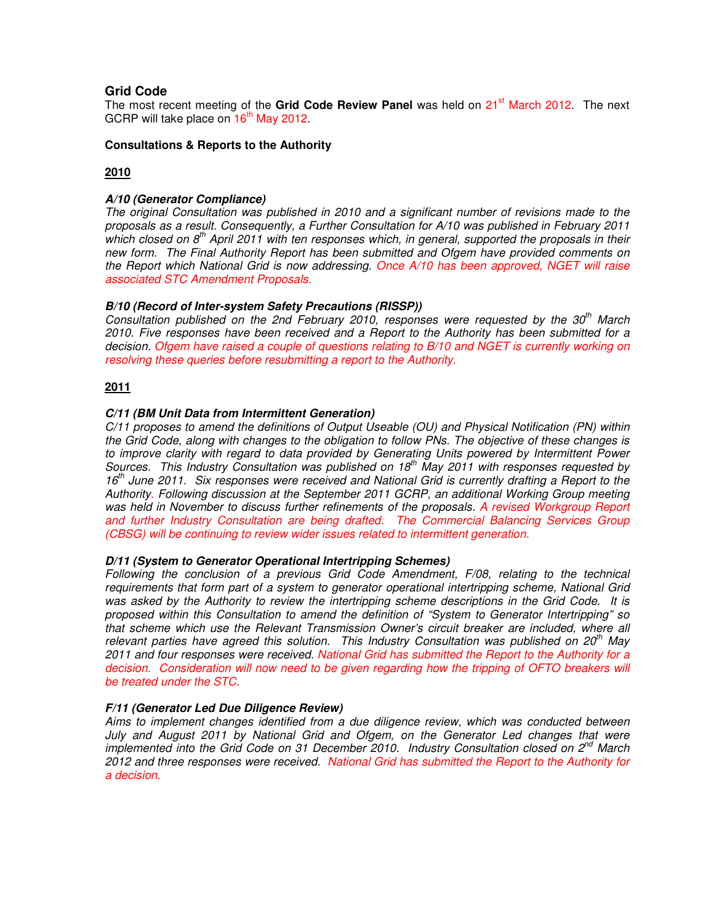# **Grid Code**

The most recent meeting of the Grid Code Review Panel was held on 21<sup>st</sup> March 2012. The next GCRP will take place on  $16<sup>th</sup>$  May 2012.

#### **Consultations & Reports to the Authority**

# **2010**

# **A/10 (Generator Compliance)**

The original Consultation was published in 2010 and a significant number of revisions made to the proposals as a result. Consequently, a Further Consultation for A/10 was published in February 2011 which closed on  $8<sup>th</sup>$  April 2011 with ten responses which, in general, supported the proposals in their new form. The Final Authority Report has been submitted and Ofgem have provided comments on the Report which National Grid is now addressing. Once A/10 has been approved, NGET will raise associated STC Amendment Proposals.

#### **B/10 (Record of Inter-system Safety Precautions (RISSP))**

Consultation published on the 2nd February 2010, responses were requested by the  $30<sup>th</sup>$  March 2010. Five responses have been received and a Report to the Authority has been submitted for a decision. Ofgem have raised a couple of questions relating to B/10 and NGET is currently working on resolving these queries before resubmitting a report to the Authority.

## **2011**

## **C/11 (BM Unit Data from Intermittent Generation)**

C/11 proposes to amend the definitions of Output Useable (OU) and Physical Notification (PN) within the Grid Code, along with changes to the obligation to follow PNs. The objective of these changes is to improve clarity with regard to data provided by Generating Units powered by Intermittent Power Sources. This Industry Consultation was published on  $18<sup>th</sup>$  May 2011 with responses requested by  $16<sup>th</sup>$  June 2011. Six responses were received and National Grid is currently drafting a Report to the Authority. Following discussion at the September 2011 GCRP, an additional Working Group meeting was held in November to discuss further refinements of the proposals. A revised Workgroup Report and further Industry Consultation are being drafted. The Commercial Balancing Services Group (CBSG) will be continuing to review wider issues related to intermittent generation.

#### **D/11 (System to Generator Operational Intertripping Schemes)**

Following the conclusion of a previous Grid Code Amendment, F/08, relating to the technical requirements that form part of a system to generator operational intertripping scheme, National Grid was asked by the Authority to review the intertripping scheme descriptions in the Grid Code. It is proposed within this Consultation to amend the definition of "System to Generator Intertripping" so that scheme which use the Relevant Transmission Owner's circuit breaker are included, where all relevant parties have agreed this solution. This Industry Consultation was published on 20<sup>th</sup> May 2011 and four responses were received. National Grid has submitted the Report to the Authority for a decision. Consideration will now need to be given regarding how the tripping of OFTO breakers will be treated under the STC.

#### **F/11 (Generator Led Due Diligence Review)**

Aims to implement changes identified from a due diligence review, which was conducted between July and August 2011 by National Grid and Ofgem, on the Generator Led changes that were implemented into the Grid Code on 31 December 2010. Industry Consultation closed on  $2^{nd}$  March 2012 and three responses were received. National Grid has submitted the Report to the Authority for a decision.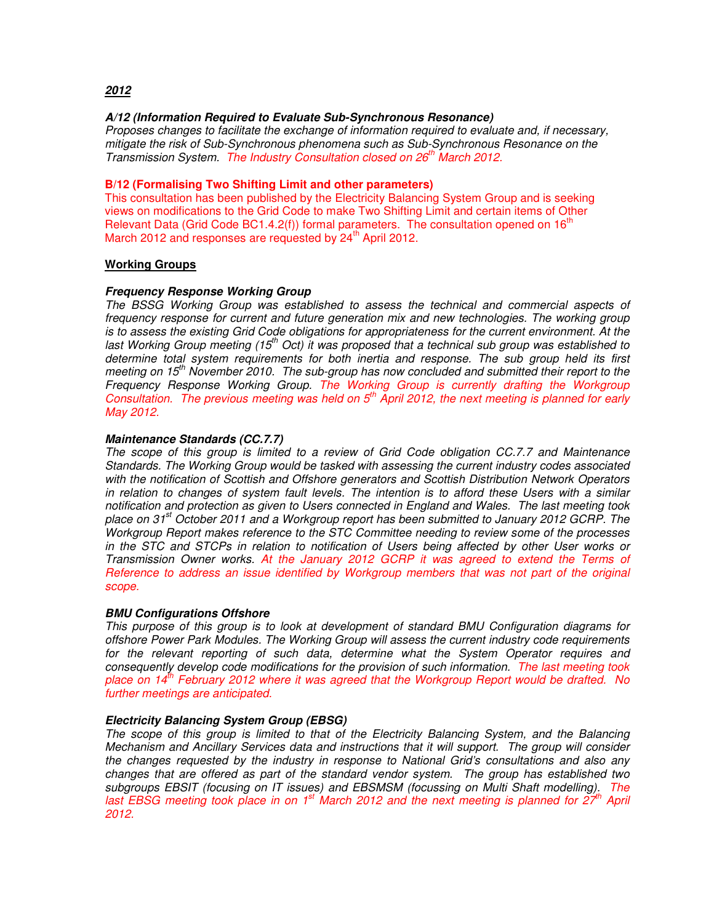# **2012**

#### **A/12 (Information Required to Evaluate Sub-Synchronous Resonance)**

Proposes changes to facilitate the exchange of information required to evaluate and, if necessary, mitigate the risk of Sub-Synchronous phenomena such as Sub-Synchronous Resonance on the Transmission System. The Industry Consultation closed on 26<sup>th</sup> March 2012.

#### **B/12 (Formalising Two Shifting Limit and other parameters)**

This consultation has been published by the Electricity Balancing System Group and is seeking views on modifications to the Grid Code to make Two Shifting Limit and certain items of Other Relevant Data (Grid Code BC1.4.2(f)) formal parameters. The consultation opened on  $16<sup>tn</sup>$ March 2012 and responses are requested by  $24<sup>th</sup>$  April 2012.

#### **Working Groups**

#### **Frequency Response Working Group**

The BSSG Working Group was established to assess the technical and commercial aspects of frequency response for current and future generation mix and new technologies. The working group is to assess the existing Grid Code obligations for appropriateness for the current environment. At the last Working Group meeting (15<sup>th</sup> Oct) it was proposed that a technical sub group was established to determine total system requirements for both inertia and response. The sub group held its first meeting on 15<sup>th</sup> November 2010. The sub-group has now concluded and submitted their report to the Frequency Response Working Group. The Working Group is currently drafting the Workgroup Consultation. The previous meeting was held on  $5<sup>th</sup>$  April 2012, the next meeting is planned for early May 2012.

#### **Maintenance Standards (CC.7.7)**

The scope of this group is limited to a review of Grid Code obligation CC.7.7 and Maintenance Standards. The Working Group would be tasked with assessing the current industry codes associated with the notification of Scottish and Offshore generators and Scottish Distribution Network Operators in relation to changes of system fault levels. The intention is to afford these Users with a similar notification and protection as given to Users connected in England and Wales. The last meeting took place on 31<sup>st</sup> October 2011 and a Workgroup report has been submitted to January 2012 GCRP. The Workgroup Report makes reference to the STC Committee needing to review some of the processes in the STC and STCPs in relation to notification of Users being affected by other User works or Transmission Owner works. At the January 2012 GCRP it was agreed to extend the Terms of Reference to address an issue identified by Workgroup members that was not part of the original scope.

#### **BMU Configurations Offshore**

This purpose of this group is to look at development of standard BMU Configuration diagrams for offshore Power Park Modules. The Working Group will assess the current industry code requirements for the relevant reporting of such data, determine what the System Operator requires and consequently develop code modifications for the provision of such information. The last meeting took place on 14<sup>th</sup> February 2012 where it was agreed that the Workgroup Report would be drafted. No further meetings are anticipated.

#### **Electricity Balancing System Group (EBSG)**

The scope of this group is limited to that of the Electricity Balancing System, and the Balancing Mechanism and Ancillary Services data and instructions that it will support. The group will consider the changes requested by the industry in response to National Grid's consultations and also any changes that are offered as part of the standard vendor system. The group has established two subgroups EBSIT (focusing on IT issues) and EBSMSM (focussing on Multi Shaft modelling). The last EBSG meeting took place in on 1<sup>st</sup> March 2012 and the next meeting is planned for  $27<sup>th</sup>$  April 2012.